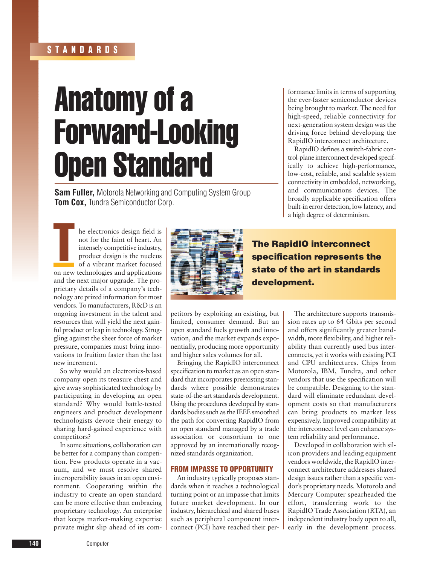## **STANDARDS**

# Anatomy of a Forward-Looking Open Standard

**Sam Fuller,** Motorola Networking and Computing System Group **Tom Cox,** Tundra Semiconductor Corp.

formance limits in terms of supporting the ever-faster semiconductor devices being brought to market. The need for high-speed, reliable connectivity for next-generation system design was the driving force behind developing the RapidIO interconnect architecture.

RapidIO defines a switch-fabric control-plane interconnect developed specifically to achieve high-performance, low-cost, reliable, and scalable system connectivity in embedded, networking, and communications devices. The broadly applicable specification offers built-in error detection, low latency, and a high degree of determinism.

T he electronics design field is not for the faint of heart. An intensely competitive industry, product design is the nucleus of a vibrant market focused on new technologies and applications and the next major upgrade. The proprietary details of a company's technology are prized information for most vendors. To manufacturers, R&D is an ongoing investment in the talent and resources that will yield the next gainful product or leap in technology. Struggling against the sheer force of market pressure, companies must bring innovations to fruition faster than the last new increment.

So why would an electronics-based company open its treasure chest and give away sophisticated technology by participating in developing an open standard? Why would battle-tested engineers and product development technologists devote their energy to sharing hard-gained experience with competitors?

In some situations, collaboration can be better for a company than competition. Few products operate in a vacuum, and we must resolve shared interoperability issues in an open environment. Cooperating within the industry to create an open standard can be more effective than embracing proprietary technology. An enterprise that keeps market-making expertise private might slip ahead of its com-



**The RapidIO interconnect specification represents the state of the art in standards development.**

petitors by exploiting an existing, but limited, consumer demand. But an open standard fuels growth and innovation, and the market expands exponentially, producing more opportunity and higher sales volumes for all.

Bringing the RapidIO interconnect specification to market as an open standard that incorporates preexisting standards where possible demonstrates state-of-the-art standards development. Using the procedures developed by standards bodies such as the IEEE smoothed the path for converting RapidIO from an open standard managed by a trade association or consortium to one approved by an internationally recognized standards organization.

### **FROM IMPASSE TO OPPORTUNITY**

An industry typically proposes standards when it reaches a technological turning point or an impasse that limits future market development. In our industry, hierarchical and shared buses such as peripheral component interconnect (PCI) have reached their per-

The architecture supports transmission rates up to 64 Gbits per second and offers significantly greater bandwidth, more flexibility, and higher reliability than currently used bus interconnects, yet it works with existing PCI and CPU architectures. Chips from Motorola, IBM, Tundra, and other vendors that use the specification will be compatible. Designing to the standard will eliminate redundant development costs so that manufacturers can bring products to market less expensively. Improved compatibility at the interconnect level can enhance system reliability and performance.

Developed in collaboration with silicon providers and leading equipment vendors worldwide, the RapidIO interconnect architecture addresses shared design issues rather than a specific vendor's proprietary needs. Motorola and Mercury Computer spearheaded the effort, transferring work to the RapidIO Trade Association (RTA), an independent industry body open to all, early in the development process.